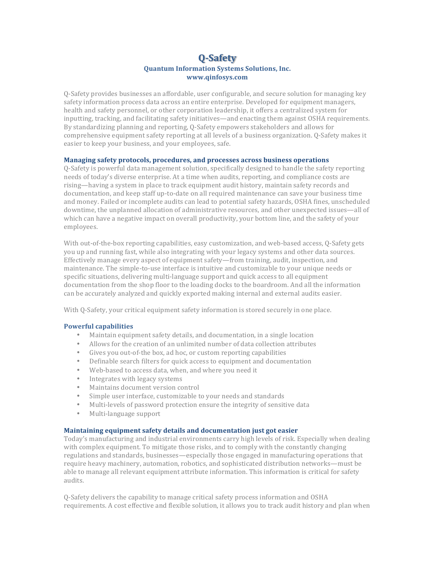# **Q-Safety Quantum Information Systems Solutions, Inc. www.qinfosys.com**

O-Safety provides businesses an affordable, user configurable, and secure solution for managing key safety information process data across an entire enterprise. Developed for equipment managers, health and safety personnel, or other corporation leadership, it offers a centralized system for inputting, tracking, and facilitating safety initiatives—and enacting them against OSHA requirements. By standardizing planning and reporting, Q-Safety empowers stakeholders and allows for comprehensive equipment safety reporting at all levels of a business organization. O-Safety makes it easier to keep your business, and your employees, safe.

#### **Managing safety protocols, procedures, and processes across business operations**

Q-Safety is powerful data management solution, specifically designed to handle the safety reporting needs of today's diverse enterprise. At a time when audits, reporting, and compliance costs are rising—having a system in place to track equipment audit history, maintain safety records and documentation, and keep staff up-to-date on all required maintenance can save your business time and money. Failed or incomplete audits can lead to potential safety hazards, OSHA fines, unscheduled downtime, the unplanned allocation of administrative resources, and other unexpected issues—all of which can have a negative impact on overall productivity, your bottom line, and the safety of your employees.

With out-of-the-box reporting capabilities, easy customization, and web-based access, 0-Safety gets you up and running fast, while also integrating with your legacy systems and other data sources. Effectively manage every aspect of equipment safety—from training, audit, inspection, and maintenance. The simple-to-use interface is intuitive and customizable to your unique needs or specific situations, delivering multi-language support and quick access to all equipment documentation from the shop floor to the loading docks to the boardroom. And all the information can be accurately analyzed and quickly exported making internal and external audits easier.

With Q-Safety, your critical equipment safety information is stored securely in one place.

### **Powerful capabilities**

- Maintain equipment safety details, and documentation, in a single location
- Allows for the creation of an unlimited number of data collection attributes
- Gives you out-of-the box, ad hoc, or custom reporting capabilities
- Definable search filters for quick access to equipment and documentation
- Web-based to access data, when, and where you need it
- Integrates with legacy systems
- Maintains document version control
- Simple user interface, customizable to your needs and standards
- Multi-levels of password protection ensure the integrity of sensitive data
- Multi-language support

#### **Maintaining equipment safety details and documentation just got easier**

Today's manufacturing and industrial environments carry high levels of risk. Especially when dealing with complex equipment. To mitigate those risks, and to comply with the constantly changing regulations and standards, businesses—especially those engaged in manufacturing operations that require heavy machinery, automation, robotics, and sophisticated distribution networks—must be able to manage all relevant equipment attribute information. This information is critical for safety audits.

Q-Safety delivers the capability to manage critical safety process information and OSHA requirements. A cost effective and flexible solution, it allows you to track audit history and plan when